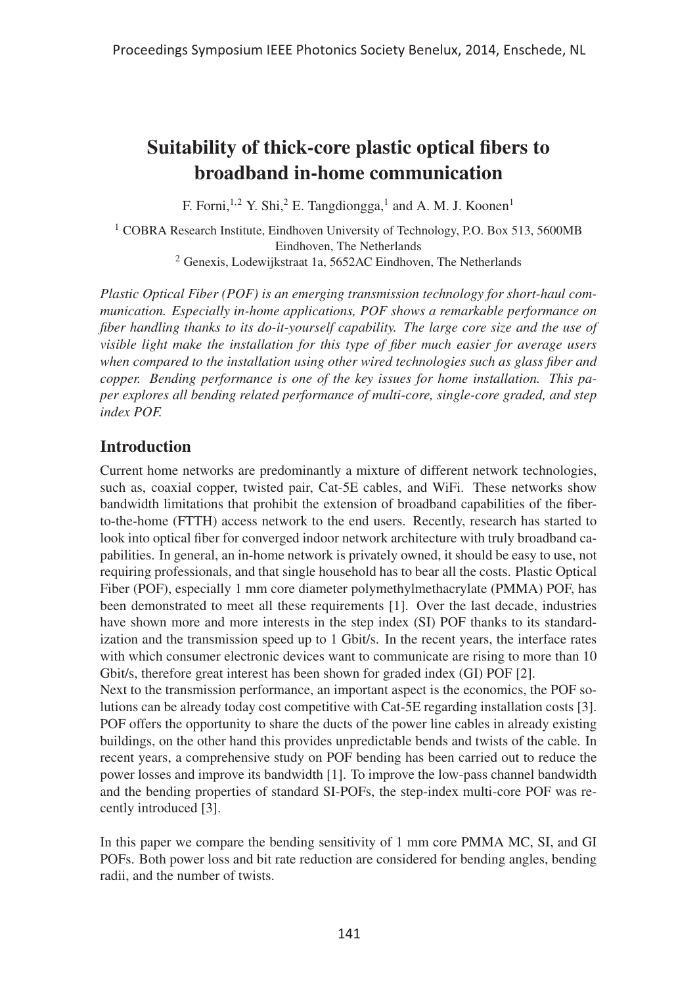# Suitability of thick-core plastic optical fibers to broadband in-home communication

F. Forni,<sup>1,2</sup> Y. Shi,<sup>2</sup> E. Tangdiongga,<sup>1</sup> and A. M. J. Koonen<sup>1</sup>

<sup>1</sup> COBRA Research Institute, Eindhoven University of Technology, P.O. Box 513, 5600MB Eindhoven, The Netherlands <sup>2</sup> Genexis, Lodewijkstraat 1a, 5652AC Eindhoven, The Netherlands

*Plastic Optical Fiber (POF) is an emerging transmission technology for short-haul communication. Especially in-home applications, POF shows a remarkable performance on fiber handling thanks to its do-it-yourself capability. The large core size and the use of visible light make the installation for this type of fiber much easier for average users when compared to the installation using other wired technologies such as glass fiber and copper. Bending performance is one of the key issues for home installation. This paper explores all bending related performance of multi-core, single-core graded, and step index POF.*

# Introduction

Current home networks are predominantly a mixture of different network technologies, such as, coaxial copper, twisted pair, Cat-5E cables, and WiFi. These networks show bandwidth limitations that prohibit the extension of broadband capabilities of the fiberto-the-home (FTTH) access network to the end users. Recently, research has started to look into optical fiber for converged indoor network architecture with truly broadband capabilities. In general, an in-home network is privately owned, it should be easy to use, not requiring professionals, and that single household has to bear all the costs. Plastic Optical Fiber (POF), especially 1 mm core diameter polymethylmethacrylate (PMMA) POF, has been demonstrated to meet all these requirements [1]. Over the last decade, industries have shown more and more interests in the step index (SI) POF thanks to its standardization and the transmission speed up to 1 Gbit/s. In the recent years, the interface rates with which consumer electronic devices want to communicate are rising to more than 10 Gbit/s, therefore great interest has been shown for graded index (GI) POF [2].

Next to the transmission performance, an important aspect is the economics, the POF solutions can be already today cost competitive with Cat-5E regarding installation costs [3]. POF offers the opportunity to share the ducts of the power line cables in already existing buildings, on the other hand this provides unpredictable bends and twists of the cable. In recent years, a comprehensive study on POF bending has been carried out to reduce the power losses and improve its bandwidth [1]. To improve the low-pass channel bandwidth and the bending properties of standard SI-POFs, the step-index multi-core POF was recently introduced [3].

In this paper we compare the bending sensitivity of 1 mm core PMMA MC, SI, and GI POFs. Both power loss and bit rate reduction are considered for bending angles, bending radii, and the number of twists.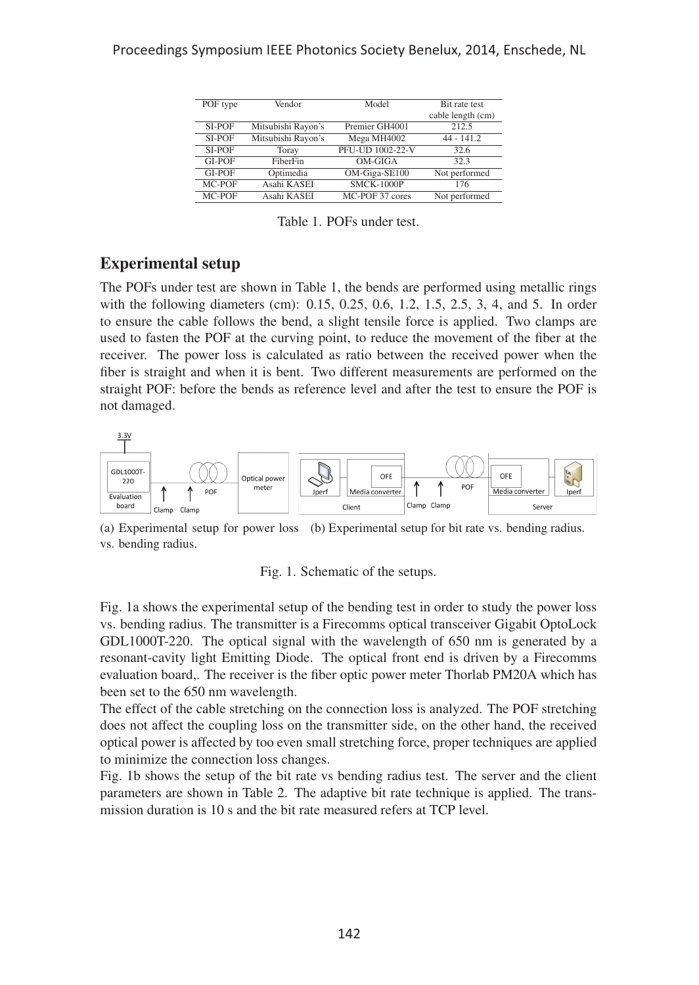| POF type | Vendor             | Model            | <b>Bit rate test</b> |
|----------|--------------------|------------------|----------------------|
|          |                    |                  | cable length (cm)    |
| SI-POF   | Mitsubishi Rayon's | Premier GH4001   | 212.5                |
| SI-POF   | Mitsubishi Rayon's | Mega MH4002      | $44 - 141.2$         |
| SI-POF   | Toray              | PFU-UD 1002-22-V | 32.6                 |
| GI-POF   | FiberFin           | OM-GIGA          | 32.3                 |
| GI-POF   | Optimedia          | OM-Giga-SE100    | Not performed        |
| MC-POF   | Asahi KASEI        | SMCK-1000P       | 176                  |
| MC-POF   | Asahi KASEI        | MC-POF 37 cores  | Not performed        |

Table 1. POFs under test.

# Experimental setup

The POFs under test are shown in Table 1, the bends are performed using metallic rings with the following diameters (cm): 0.15, 0.25, 0.6, 1.2, 1.5, 2.5, 3, 4, and 5. In order to ensure the cable follows the bend, a slight tensile force is applied. Two clamps are used to fasten the POF at the curving point, to reduce the movement of the fiber at the receiver. The power loss is calculated as ratio between the received power when the fiber is straight and when it is bent. Two different measurements are performed on the straight POF: before the bends as reference level and after the test to ensure the POF is not damaged.



(a) Experimental setup for power loss (b) Experimental setup for bit rate vs. bending radius. vs. bending radius.



Fig. 1a shows the experimental setup of the bending test in order to study the power loss vs. bending radius. The transmitter is a Firecomms optical transceiver Gigabit OptoLock GDL1000T-220. The optical signal with the wavelength of 650 nm is generated by a resonant-cavity light Emitting Diode. The optical front end is driven by a Firecomms evaluation board,. The receiver is the fiber optic power meter Thorlab PM20A which has been set to the 650 nm wavelength.

The effect of the cable stretching on the connection loss is analyzed. The POF stretching does not affect the coupling loss on the transmitter side, on the other hand, the received optical power is affected by too even small stretching force, proper techniques are applied to minimize the connection loss changes.

Fig. 1b shows the setup of the bit rate vs bending radius test. The server and the client parameters are shown in Table 2. The adaptive bit rate technique is applied. The transmission duration is 10 s and the bit rate measured refers at TCP level.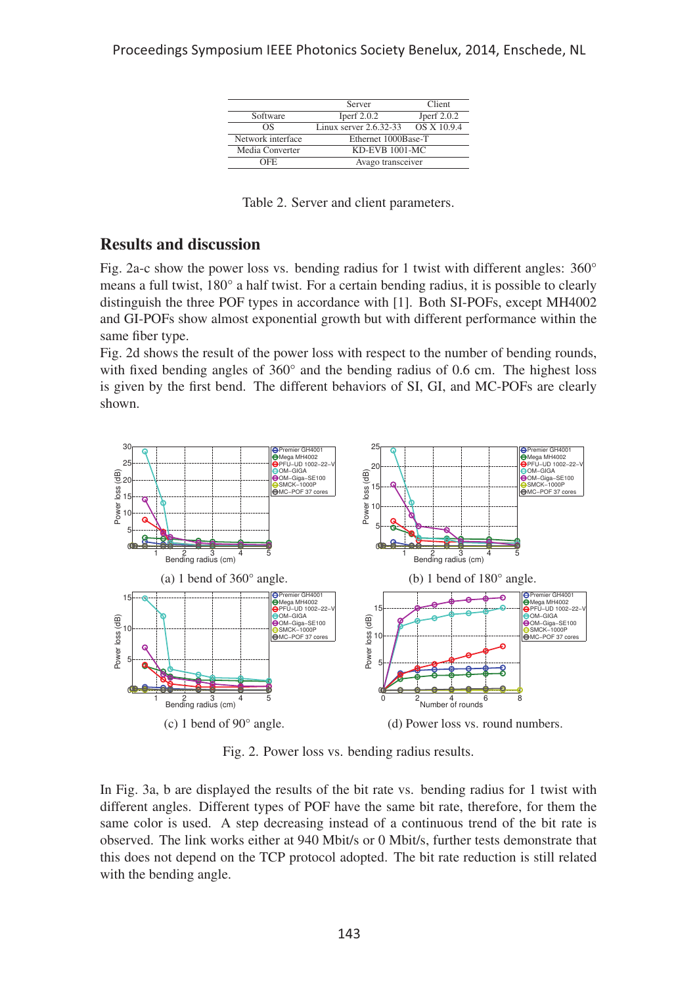|                   | Server                     | Client        |  |
|-------------------|----------------------------|---------------|--|
| Software          | Iperf $2.0.2$              | Jperf $2.0.2$ |  |
| ΩS                | Linux server $2.6.32 - 33$ | OS X 10.9.4   |  |
| Network interface | Ethernet 1000Base-T        |               |  |
| Media Converter   | <b>KD-EVB 1001-MC</b>      |               |  |
| OFF.              | Avago transceiver          |               |  |

Table 2. Server and client parameters.

# Results and discussion

Fig. 2a-c show the power loss vs. bending radius for 1 twist with different angles: 360° means a full twist, 180° a half twist. For a certain bending radius, it is possible to clearly distinguish the three POF types in accordance with [1]. Both SI-POFs, except MH4002 and GI-POFs show almost exponential growth but with different performance within the same fiber type.

Fig. 2d shows the result of the power loss with respect to the number of bending rounds, with fixed bending angles of 360° and the bending radius of 0.6 cm. The highest loss is given by the first bend. The different behaviors of SI, GI, and MC-POFs are clearly shown.



Fig. 2. Power loss vs. bending radius results.

In Fig. 3a, b are displayed the results of the bit rate vs. bending radius for 1 twist with different angles. Different types of POF have the same bit rate, therefore, for them the same color is used. A step decreasing instead of a continuous trend of the bit rate is observed. The link works either at 940 Mbit/s or 0 Mbit/s, further tests demonstrate that this does not depend on the TCP protocol adopted. The bit rate reduction is still related with the bending angle.